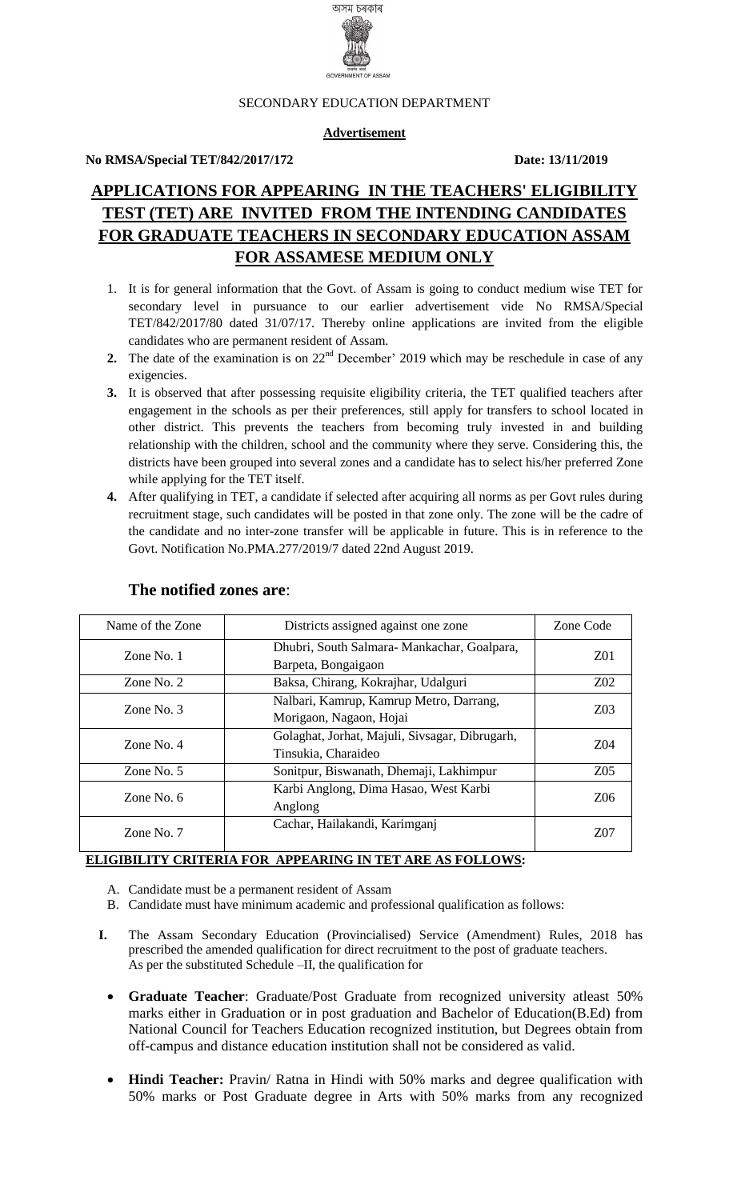

#### SECONDARY EDUCATION DEPARTMENT

#### **Advertisement**

#### **No RMSA/Special TET/842/2017/172 Date: 13/11/2019**

# **APPLICATIONS FOR APPEARING IN THE TEACHERS' ELIGIBILITY TEST (TET) ARE INVITED FROM THE INTENDING CANDIDATES FOR GRADUATE TEACHERS IN SECONDARY EDUCATION ASSAM FOR ASSAMESE MEDIUM ONLY**

- 1. It is for general information that the Govt. of Assam is going to conduct medium wise TET for secondary level in pursuance to our earlier advertisement vide No RMSA/Special TET/842/2017/80 dated 31/07/17. Thereby online applications are invited from the eligible candidates who are permanent resident of Assam.
- **2.** The date of the examination is on  $22<sup>nd</sup>$  December' 2019 which may be reschedule in case of any exigencies.
- **3.** It is observed that after possessing requisite eligibility criteria, the TET qualified teachers after engagement in the schools as per their preferences, still apply for transfers to school located in other district. This prevents the teachers from becoming truly invested in and building relationship with the children, school and the community where they serve. Considering this, the districts have been grouped into several zones and a candidate has to select his/her preferred Zone while applying for the TET itself.
- **4.** After qualifying in TET, a candidate if selected after acquiring all norms as per Govt rules during recruitment stage, such candidates will be posted in that zone only. The zone will be the cadre of the candidate and no inter-zone transfer will be applicable in future. This is in reference to the Govt. Notification No.PMA.277/2019/7 dated 22nd August 2019.

| Name of the Zone | Districts assigned against one zone                                   | Zone Code       |
|------------------|-----------------------------------------------------------------------|-----------------|
| Zone No. 1       | Dhubri, South Salmara-Mankachar, Goalpara,<br>Barpeta, Bongaigaon     |                 |
| Zone No. $2$     | Baksa, Chirang, Kokrajhar, Udalguri                                   | $Z_{02}$        |
| Zone No. $3$     | Nalbari, Kamrup, Kamrup Metro, Darrang,<br>Morigaon, Nagaon, Hojai    | Z <sub>03</sub> |
| Zone No. $4$     | Golaghat, Jorhat, Majuli, Sivsagar, Dibrugarh,<br>Tinsukia, Charaideo |                 |
| Zone No. $5$     | Sonitpur, Biswanath, Dhemaji, Lakhimpur                               | Z05             |
| Zone No. $6$     | Karbi Anglong, Dima Hasao, West Karbi<br>Anglong                      | Z06             |
| Zone No. 7       | Cachar, Hailakandi, Karimganj                                         | Z07             |

#### **The notified zones are**:

#### **ELIGIBILITY CRITERIA FOR APPEARING IN TET ARE AS FOLLOWS:**

- A. Candidate must be a permanent resident of Assam
- B. Candidate must have minimum academic and professional qualification as follows:
- **I.** The Assam Secondary Education (Provincialised) Service (Amendment) Rules, 2018 has prescribed the amended qualification for direct recruitment to the post of graduate teachers. As per the substituted Schedule –II, the qualification for
	- **Graduate Teacher**: Graduate/Post Graduate from recognized university atleast 50% marks either in Graduation or in post graduation and Bachelor of Education(B.Ed) from National Council for Teachers Education recognized institution, but Degrees obtain from off-campus and distance education institution shall not be considered as valid.
	- **Hindi Teacher:** Pravin/ Ratna in Hindi with 50% marks and degree qualification with 50% marks or Post Graduate degree in Arts with 50% marks from any recognized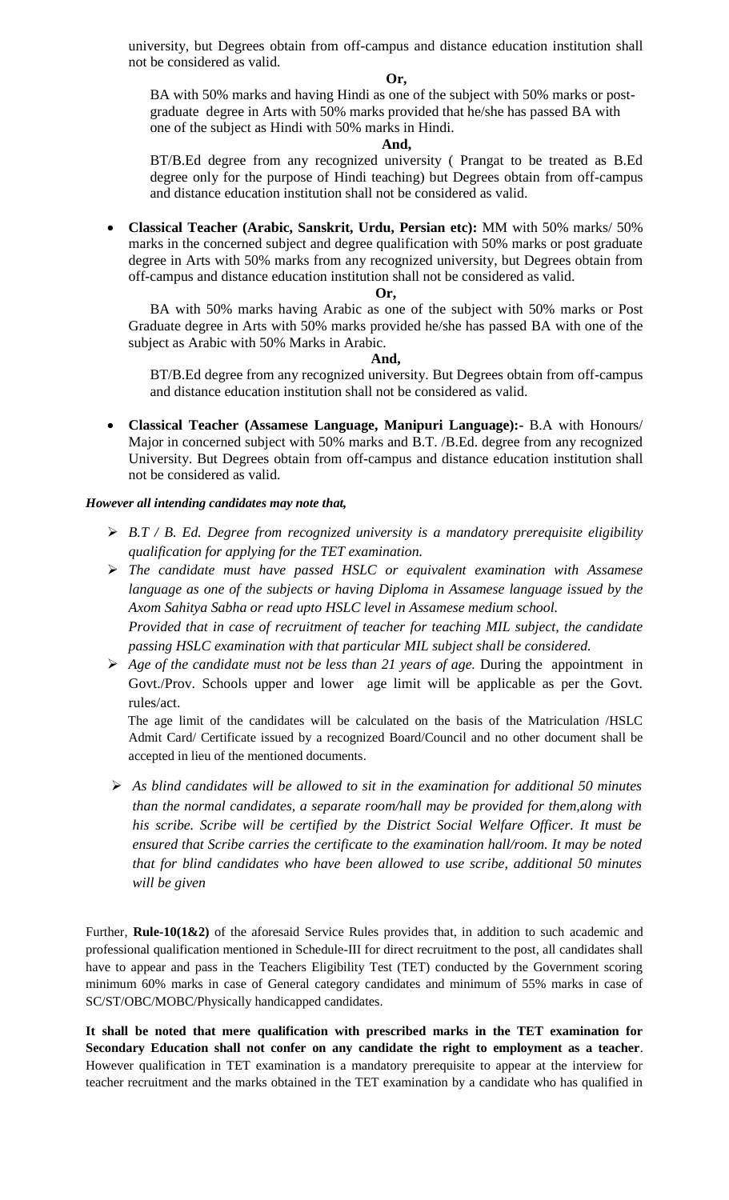university, but Degrees obtain from off-campus and distance education institution shall not be considered as valid.

#### **Or,**

BA with 50% marks and having Hindi as one of the subject with 50% marks or postgraduate degree in Arts with 50% marks provided that he/she has passed BA with one of the subject as Hindi with 50% marks in Hindi.

#### **And,**

BT/B.Ed degree from any recognized university ( Prangat to be treated as B.Ed degree only for the purpose of Hindi teaching) but Degrees obtain from off-campus and distance education institution shall not be considered as valid.

 **Classical Teacher (Arabic, Sanskrit, Urdu, Persian etc):** MM with 50% marks/ 50% marks in the concerned subject and degree qualification with 50% marks or post graduate degree in Arts with 50% marks from any recognized university, but Degrees obtain from off-campus and distance education institution shall not be considered as valid.

#### **Or,**

BA with 50% marks having Arabic as one of the subject with 50% marks or Post Graduate degree in Arts with 50% marks provided he/she has passed BA with one of the subject as Arabic with 50% Marks in Arabic.

#### **And,**

BT/B.Ed degree from any recognized university. But Degrees obtain from off-campus and distance education institution shall not be considered as valid.

 **Classical Teacher (Assamese Language, Manipuri Language):-** B.A with Honours/ Major in concerned subject with 50% marks and B.T. /B.Ed. degree from any recognized University. But Degrees obtain from off-campus and distance education institution shall not be considered as valid.

#### *However all intending candidates may note that,*

- *B.T / B. Ed. Degree from recognized university is a mandatory prerequisite eligibility qualification for applying for the TET examination.*
- *The candidate must have passed HSLC or equivalent examination with Assamese language as one of the subjects or having Diploma in Assamese language issued by the Axom Sahitya Sabha or read upto HSLC level in Assamese medium school. Provided that in case of recruitment of teacher for teaching MIL subject, the candidate*
- *passing HSLC examination with that particular MIL subject shall be considered. Age of the candidate must not be less than 21 years of age.* During the appointment in Govt./Prov. Schools upper and lower age limit will be applicable as per the Govt.

rules/act. The age limit of the candidates will be calculated on the basis of the Matriculation /HSLC Admit Card/ Certificate issued by a recognized Board/Council and no other document shall be accepted in lieu of the mentioned documents.

 *As blind candidates will be allowed to sit in the examination for additional 50 minutes than the normal candidates, a separate room/hall may be provided for them,along with his scribe. Scribe will be certified by the District Social Welfare Officer. It must be ensured that Scribe carries the certificate to the examination hall/room. It may be noted that for blind candidates who have been allowed to use scribe, additional 50 minutes will be given*

Further, **Rule-10(1&2)** of the aforesaid Service Rules provides that, in addition to such academic and professional qualification mentioned in Schedule-III for direct recruitment to the post, all candidates shall have to appear and pass in the Teachers Eligibility Test (TET) conducted by the Government scoring minimum 60% marks in case of General category candidates and minimum of 55% marks in case of SC/ST/OBC/MOBC/Physically handicapped candidates.

**It shall be noted that mere qualification with prescribed marks in the TET examination for Secondary Education shall not confer on any candidate the right to employment as a teacher**. However qualification in TET examination is a mandatory prerequisite to appear at the interview for teacher recruitment and the marks obtained in the TET examination by a candidate who has qualified in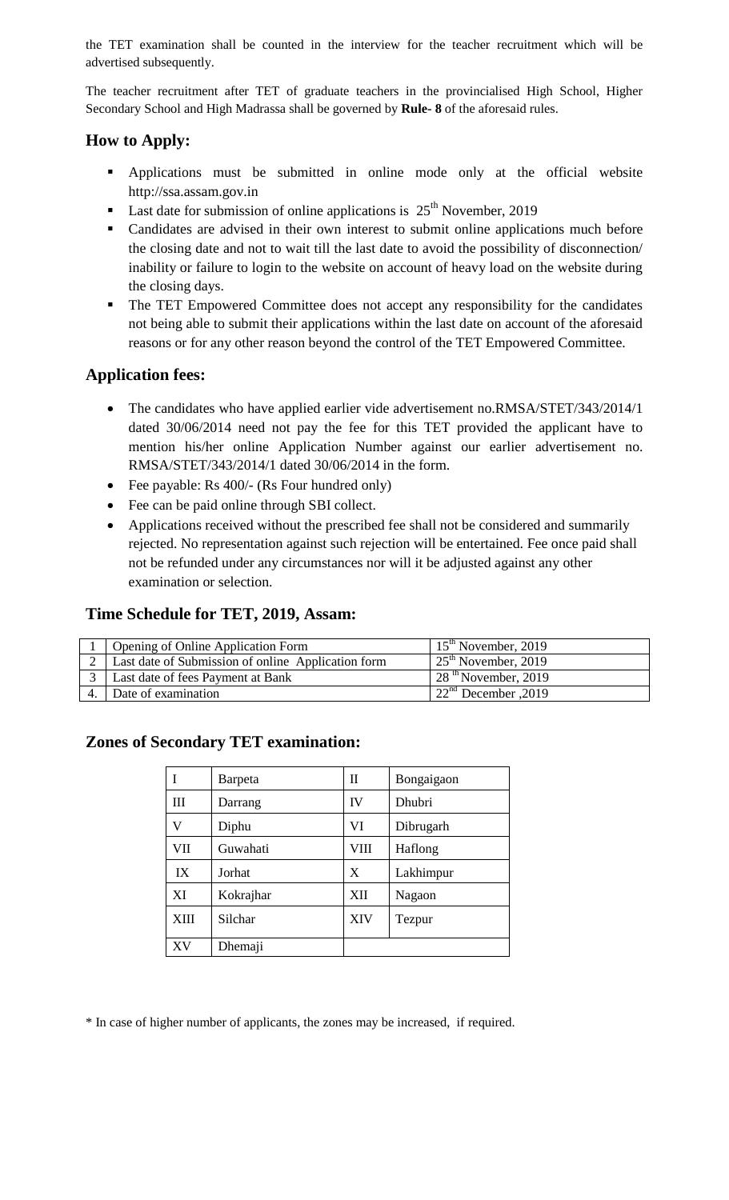the TET examination shall be counted in the interview for the teacher recruitment which will be advertised subsequently.

The teacher recruitment after TET of graduate teachers in the provincialised High School, Higher Secondary School and High Madrassa shall be governed by **Rule- 8** of the aforesaid rules.

## **How to Apply:**

- Applications must be submitted in online mode only at the official website http://ssa.assam.gov.in
- **Last date for submission of online applications is**  $25<sup>th</sup>$  **November, 2019**
- Candidates are advised in their own interest to submit online applications much before the closing date and not to wait till the last date to avoid the possibility of disconnection/ inability or failure to login to the website on account of heavy load on the website during the closing days.
- The TET Empowered Committee does not accept any responsibility for the candidates not being able to submit their applications within the last date on account of the aforesaid reasons or for any other reason beyond the control of the TET Empowered Committee.

## **Application fees:**

- The candidates who have applied earlier vide advertisement no.RMSA/STET/343/2014/1 dated 30/06/2014 need not pay the fee for this TET provided the applicant have to mention his/her online Application Number against our earlier advertisement no. RMSA/STET/343/2014/1 dated 30/06/2014 in the form.
- Fee payable: Rs 400/- (Rs Four hundred only)
- Fee can be paid online through SBI collect.
- Applications received without the prescribed fee shall not be considered and summarily rejected. No representation against such rejection will be entertained. Fee once paid shall not be refunded under any circumstances nor will it be adjusted against any other examination or selection.

## **Time Schedule for TET, 2019, Assam:**

| <b>Opening of Online Application Form</b>          | $15th$ November, 2019              |
|----------------------------------------------------|------------------------------------|
| Last date of Submission of online Application form | $125^{\text{th}}$ November, 2019   |
| Last date of fees Payment at Bank                  | $128$ <sup>th</sup> November, 2019 |
| Date of examination                                | 22 $^{\text{nd}}$ December , 2019  |

## **Zones of Secondary TET examination:**

|      | Barpeta   | П    | Bongaigaon |
|------|-----------|------|------------|
| Ш    | Darrang   | IV   | Dhubri     |
| V    | Diphu     | VI   | Dibrugarh  |
| VII  | Guwahati  | VIII | Haflong    |
| IX   | Jorhat    | X    | Lakhimpur  |
| XI   | Kokrajhar | XII  | Nagaon     |
| XIII | Silchar   | XIV  | Tezpur     |
| XV   | Dhemaji   |      |            |

\* In case of higher number of applicants, the zones may be increased, if required.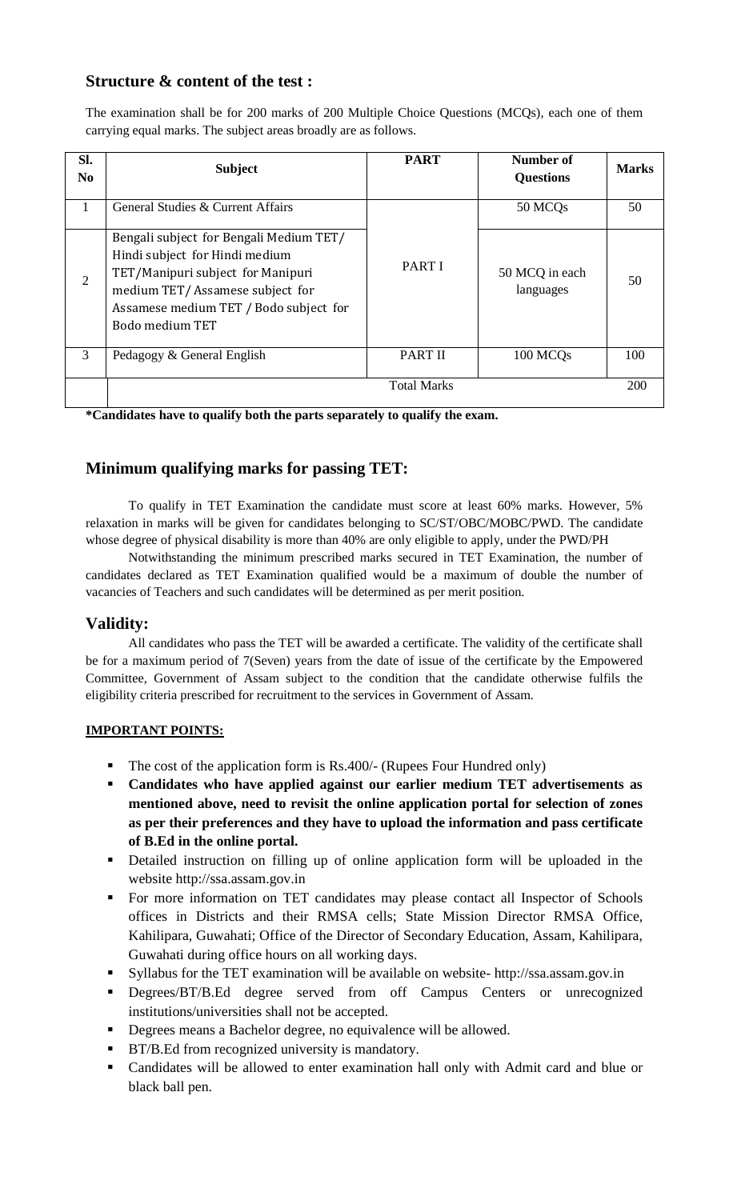## **Structure & content of the test :**

The examination shall be for 200 marks of 200 Multiple Choice Questions (MCQs), each one of them carrying equal marks. The subject areas broadly are as follows.

| Sl.<br>N <sub>0</sub> | <b>Subject</b>                                                                                                                                                                                                 | <b>PART</b>        | Number of<br><b>Questions</b> | <b>Marks</b> |
|-----------------------|----------------------------------------------------------------------------------------------------------------------------------------------------------------------------------------------------------------|--------------------|-------------------------------|--------------|
|                       | General Studies & Current Affairs                                                                                                                                                                              |                    | 50 MCQs                       | 50           |
| $\overline{2}$        | Bengali subject for Bengali Medium TET/<br>Hindi subject for Hindi medium<br>TET/Manipuri subject for Manipuri<br>medium TET/Assamese subject for<br>Assamese medium TET / Bodo subject for<br>Bodo medium TET | <b>PART I</b>      | 50 MCQ in each<br>languages   | 50           |
| 3                     | Pedagogy & General English                                                                                                                                                                                     | <b>PART II</b>     | 100 MCQ <sub>s</sub>          | 100          |
|                       |                                                                                                                                                                                                                | <b>Total Marks</b> |                               | 200          |

**\*Candidates have to qualify both the parts separately to qualify the exam.**

## **Minimum qualifying marks for passing TET:**

To qualify in TET Examination the candidate must score at least 60% marks. However, 5% relaxation in marks will be given for candidates belonging to SC/ST/OBC/MOBC/PWD. The candidate whose degree of physical disability is more than 40% are only eligible to apply, under the PWD/PH

Notwithstanding the minimum prescribed marks secured in TET Examination, the number of candidates declared as TET Examination qualified would be a maximum of double the number of vacancies of Teachers and such candidates will be determined as per merit position.

## **Validity:**

All candidates who pass the TET will be awarded a certificate. The validity of the certificate shall be for a maximum period of 7(Seven) years from the date of issue of the certificate by the Empowered Committee, Government of Assam subject to the condition that the candidate otherwise fulfils the eligibility criteria prescribed for recruitment to the services in Government of Assam.

#### **IMPORTANT POINTS:**

- $\blacksquare$  The cost of the application form is Rs.400/- (Rupees Four Hundred only)
- **Candidates who have applied against our earlier medium TET advertisements as mentioned above, need to revisit the online application portal for selection of zones as per their preferences and they have to upload the information and pass certificate of B.Ed in the online portal.**
- Detailed instruction on filling up of online application form will be uploaded in the website http://ssa.assam.gov.in
- For more information on TET candidates may please contact all Inspector of Schools offices in Districts and their RMSA cells; State Mission Director RMSA Office, Kahilipara, Guwahati; Office of the Director of Secondary Education, Assam, Kahilipara, Guwahati during office hours on all working days.
- Syllabus for the TET examination will be available on website- http://ssa.assam.gov.in
- **•** Degrees/BT/B.Ed degree served from off Campus Centers or unrecognized institutions/universities shall not be accepted.
- Degrees means a Bachelor degree, no equivalence will be allowed.
- **BT/B.Ed from recognized university is mandatory.**
- Candidates will be allowed to enter examination hall only with Admit card and blue or black ball pen.